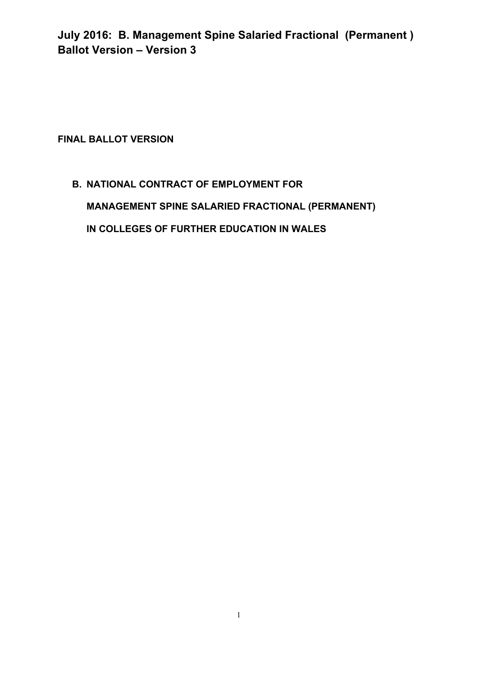**FINAL BALLOT VERSION** 

# **B. NATIONAL CONTRACT OF EMPLOYMENT FOR MANAGEMENT SPINE SALARIED FRACTIONAL (PERMANENT) IN COLLEGES OF FURTHER EDUCATION IN WALES**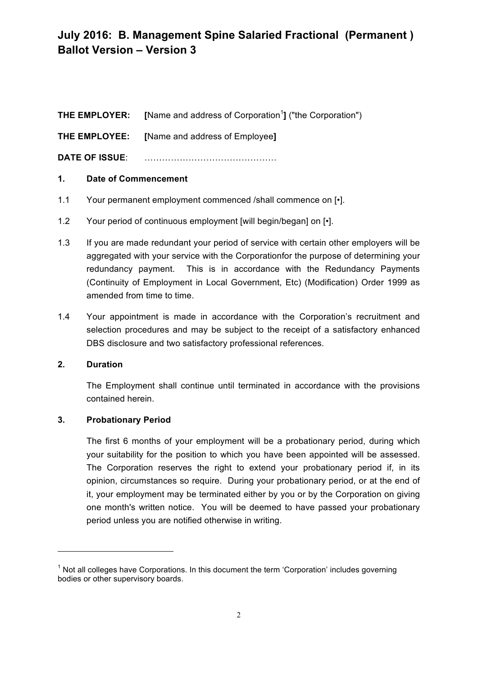|                       | <b>THE EMPLOYER:</b> [Name and address of Corporation <sup>1</sup> ] ("the Corporation") |
|-----------------------|------------------------------------------------------------------------------------------|
|                       | <b>THE EMPLOYEE:</b> [Name and address of Employee]                                      |
| <b>DATE OF ISSUE:</b> |                                                                                          |

# **1. Date of Commencement**

- 1.1 Your permanent employment commenced /shall commence on [•].
- 1.2 Your period of continuous employment [will begin/began] on [•].
- 1.3 If you are made redundant your period of service with certain other employers will be aggregated with your service with the Corporationfor the purpose of determining your redundancy payment. This is in accordance with the Redundancy Payments (Continuity of Employment in Local Government, Etc) (Modification) Order 1999 as amended from time to time.
- 1.4 Your appointment is made in accordance with the Corporation's recruitment and selection procedures and may be subject to the receipt of a satisfactory enhanced DBS disclosure and two satisfactory professional references.

# **2. Duration**

The Employment shall continue until terminated in accordance with the provisions contained herein.

# **3. Probationary Period**

<u> 1989 - Jan Samuel Barbara, político establecido de la provincia de la provincia de la provincia de la provinci</u>

The first 6 months of your employment will be a probationary period, during which your suitability for the position to which you have been appointed will be assessed. The Corporation reserves the right to extend your probationary period if, in its opinion, circumstances so require. During your probationary period, or at the end of it, your employment may be terminated either by you or by the Corporation on giving one month's written notice. You will be deemed to have passed your probationary period unless you are notified otherwise in writing.

 $1$  Not all colleges have Corporations. In this document the term 'Corporation' includes governing bodies or other supervisory boards.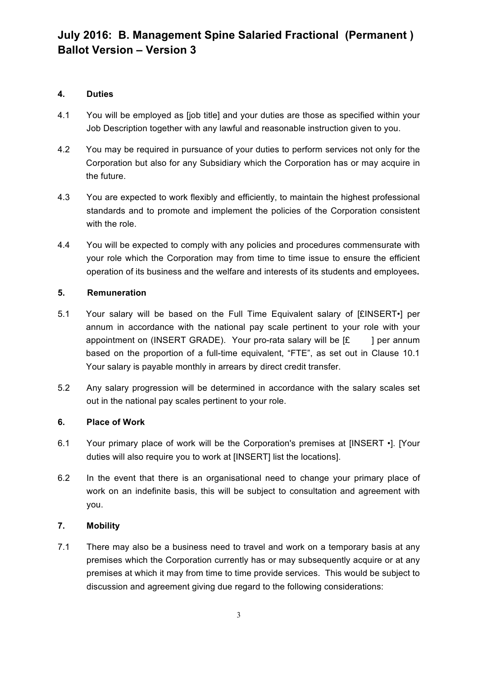# **4. Duties**

- 4.1 You will be employed as [job title] and your duties are those as specified within your Job Description together with any lawful and reasonable instruction given to you.
- 4.2 You may be required in pursuance of your duties to perform services not only for the Corporation but also for any Subsidiary which the Corporation has or may acquire in the future.
- 4.3 You are expected to work flexibly and efficiently, to maintain the highest professional standards and to promote and implement the policies of the Corporation consistent with the role.
- 4.4 You will be expected to comply with any policies and procedures commensurate with your role which the Corporation may from time to time issue to ensure the efficient operation of its business and the welfare and interests of its students and employees**.**

# **5. Remuneration**

- 5.1 Your salary will be based on the Full Time Equivalent salary of [£INSERT•] per annum in accordance with the national pay scale pertinent to your role with your appointment on (INSERT GRADE). Your pro-rata salary will be  $E = 1$  per annum based on the proportion of a full-time equivalent, "FTE", as set out in Clause 10.1 Your salary is payable monthly in arrears by direct credit transfer.
- 5.2 Any salary progression will be determined in accordance with the salary scales set out in the national pay scales pertinent to your role.

# **6. Place of Work**

- 6.1 Your primary place of work will be the Corporation's premises at [INSERT •]. [Your duties will also require you to work at [INSERT] list the locations].
- 6.2 In the event that there is an organisational need to change your primary place of work on an indefinite basis, this will be subject to consultation and agreement with you.

# **7. Mobility**

7.1 There may also be a business need to travel and work on a temporary basis at any premises which the Corporation currently has or may subsequently acquire or at any premises at which it may from time to time provide services. This would be subject to discussion and agreement giving due regard to the following considerations: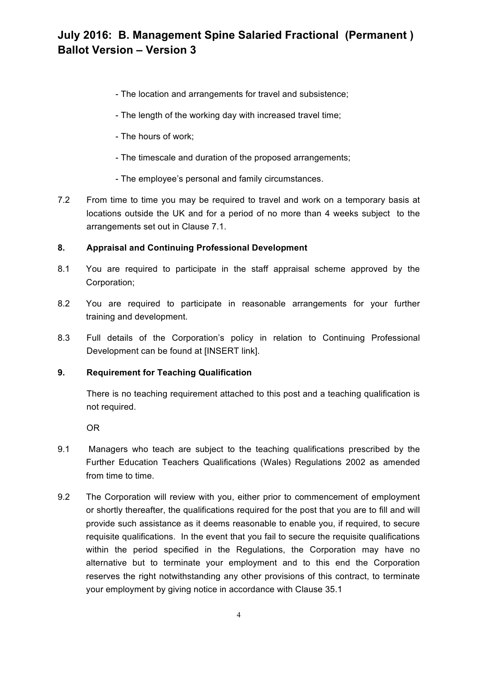- The location and arrangements for travel and subsistence;
- The length of the working day with increased travel time;
- The hours of work;
- The timescale and duration of the proposed arrangements;
- The employee's personal and family circumstances.
- 7.2 From time to time you may be required to travel and work on a temporary basis at locations outside the UK and for a period of no more than 4 weeks subject to the arrangements set out in Clause 7.1.

# **8. Appraisal and Continuing Professional Development**

- 8.1 You are required to participate in the staff appraisal scheme approved by the Corporation;
- 8.2 You are required to participate in reasonable arrangements for your further training and development.
- 8.3 Full details of the Corporation's policy in relation to Continuing Professional Development can be found at IINSERT linkl.

# **9. Requirement for Teaching Qualification**

There is no teaching requirement attached to this post and a teaching qualification is not required.

OR

- 9.1 Managers who teach are subject to the teaching qualifications prescribed by the Further Education Teachers Qualifications (Wales) Regulations 2002 as amended from time to time.
- 9.2 The Corporation will review with you, either prior to commencement of employment or shortly thereafter, the qualifications required for the post that you are to fill and will provide such assistance as it deems reasonable to enable you, if required, to secure requisite qualifications. In the event that you fail to secure the requisite qualifications within the period specified in the Regulations, the Corporation may have no alternative but to terminate your employment and to this end the Corporation reserves the right notwithstanding any other provisions of this contract, to terminate your employment by giving notice in accordance with Clause 35.1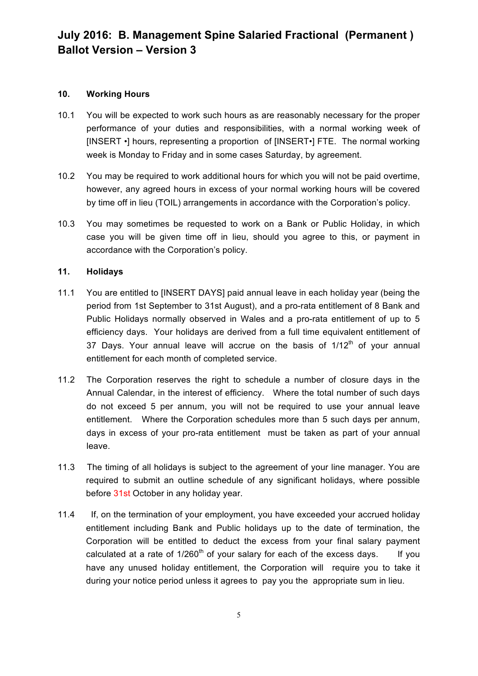# **10. Working Hours**

- 10.1 You will be expected to work such hours as are reasonably necessary for the proper performance of your duties and responsibilities, with a normal working week of [INSERT •] hours, representing a proportion of [INSERT•] FTE. The normal working week is Monday to Friday and in some cases Saturday, by agreement.
- 10.2 You may be required to work additional hours for which you will not be paid overtime, however, any agreed hours in excess of your normal working hours will be covered by time off in lieu (TOIL) arrangements in accordance with the Corporation's policy.
- 10.3 You may sometimes be requested to work on a Bank or Public Holiday, in which case you will be given time off in lieu, should you agree to this, or payment in accordance with the Corporation's policy.

# **11. Holidays**

- 11.1 You are entitled to [INSERT DAYS] paid annual leave in each holiday year (being the period from 1st September to 31st August), and a pro-rata entitlement of 8 Bank and Public Holidays normally observed in Wales and a pro-rata entitlement of up to 5 efficiency days. Your holidays are derived from a full time equivalent entitlement of 37 Days. Your annual leave will accrue on the basis of  $1/12<sup>th</sup>$  of your annual entitlement for each month of completed service.
- 11.2 The Corporation reserves the right to schedule a number of closure days in the Annual Calendar, in the interest of efficiency. Where the total number of such days do not exceed 5 per annum, you will not be required to use your annual leave entitlement. Where the Corporation schedules more than 5 such days per annum, days in excess of your pro-rata entitlement must be taken as part of your annual leave.
- 11.3 The timing of all holidays is subject to the agreement of your line manager. You are required to submit an outline schedule of any significant holidays, where possible before 31st October in any holiday year.
- 11.4 If, on the termination of your employment, you have exceeded your accrued holiday entitlement including Bank and Public holidays up to the date of termination, the Corporation will be entitled to deduct the excess from your final salary payment calculated at a rate of  $1/260<sup>th</sup>$  of your salary for each of the excess days. If you have any unused holiday entitlement, the Corporation will require you to take it during your notice period unless it agrees to pay you the appropriate sum in lieu.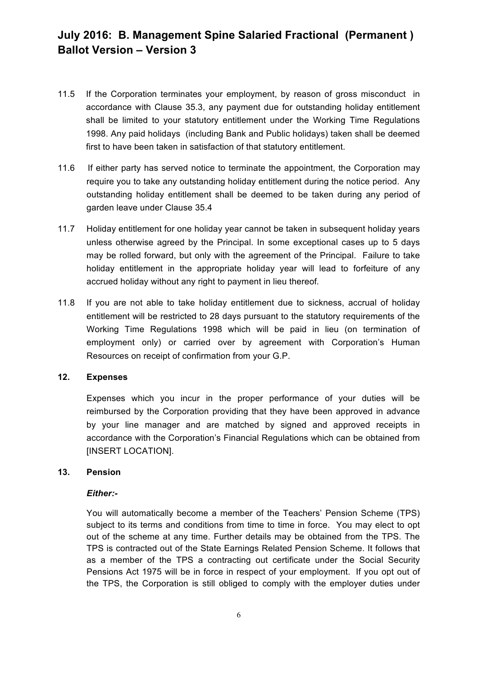- 11.5 If the Corporation terminates your employment, by reason of gross misconduct in accordance with Clause 35.3, any payment due for outstanding holiday entitlement shall be limited to your statutory entitlement under the Working Time Regulations 1998. Any paid holidays (including Bank and Public holidays) taken shall be deemed first to have been taken in satisfaction of that statutory entitlement.
- 11.6 If either party has served notice to terminate the appointment, the Corporation may require you to take any outstanding holiday entitlement during the notice period. Any outstanding holiday entitlement shall be deemed to be taken during any period of garden leave under Clause 35.4
- 11.7 Holiday entitlement for one holiday year cannot be taken in subsequent holiday years unless otherwise agreed by the Principal. In some exceptional cases up to 5 days may be rolled forward, but only with the agreement of the Principal. Failure to take holiday entitlement in the appropriate holiday year will lead to forfeiture of any accrued holiday without any right to payment in lieu thereof*.*
- 11.8 If you are not able to take holiday entitlement due to sickness, accrual of holiday entitlement will be restricted to 28 days pursuant to the statutory requirements of the Working Time Regulations 1998 which will be paid in lieu (on termination of employment only) or carried over by agreement with Corporation's Human Resources on receipt of confirmation from your G.P.

#### **12. Expenses**

Expenses which you incur in the proper performance of your duties will be reimbursed by the Corporation providing that they have been approved in advance by your line manager and are matched by signed and approved receipts in accordance with the Corporation's Financial Regulations which can be obtained from [INSERT LOCATION].

# **13. Pension**

# *Either:-*

You will automatically become a member of the Teachers' Pension Scheme (TPS) subject to its terms and conditions from time to time in force. You may elect to opt out of the scheme at any time. Further details may be obtained from the TPS. The TPS is contracted out of the State Earnings Related Pension Scheme. It follows that as a member of the TPS a contracting out certificate under the Social Security Pensions Act 1975 will be in force in respect of your employment. If you opt out of the TPS, the Corporation is still obliged to comply with the employer duties under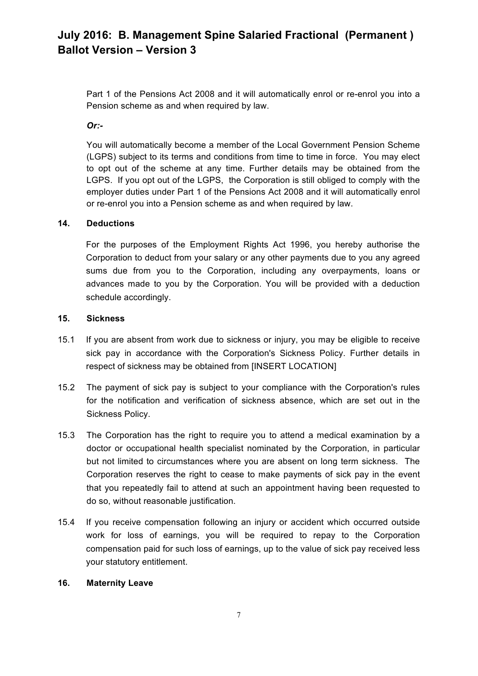Part 1 of the Pensions Act 2008 and it will automatically enrol or re-enrol you into a Pension scheme as and when required by law.

*Or:-*

You will automatically become a member of the Local Government Pension Scheme (LGPS) subject to its terms and conditions from time to time in force. You may elect to opt out of the scheme at any time. Further details may be obtained from the LGPS. If you opt out of the LGPS, the Corporation is still obliged to comply with the employer duties under Part 1 of the Pensions Act 2008 and it will automatically enrol or re-enrol you into a Pension scheme as and when required by law.

# **14. Deductions**

For the purposes of the Employment Rights Act 1996, you hereby authorise the Corporation to deduct from your salary or any other payments due to you any agreed sums due from you to the Corporation, including any overpayments, loans or advances made to you by the Corporation. You will be provided with a deduction schedule accordingly.

#### **15. Sickness**

- 15.1 If you are absent from work due to sickness or injury, you may be eligible to receive sick pay in accordance with the Corporation's Sickness Policy. Further details in respect of sickness may be obtained from [INSERT LOCATION]
- 15.2 The payment of sick pay is subject to your compliance with the Corporation's rules for the notification and verification of sickness absence, which are set out in the Sickness Policy.
- 15.3 The Corporation has the right to require you to attend a medical examination by a doctor or occupational health specialist nominated by the Corporation, in particular but not limited to circumstances where you are absent on long term sickness. The Corporation reserves the right to cease to make payments of sick pay in the event that you repeatedly fail to attend at such an appointment having been requested to do so, without reasonable justification.
- 15.4 If you receive compensation following an injury or accident which occurred outside work for loss of earnings, you will be required to repay to the Corporation compensation paid for such loss of earnings, up to the value of sick pay received less your statutory entitlement.

#### **16. Maternity Leave**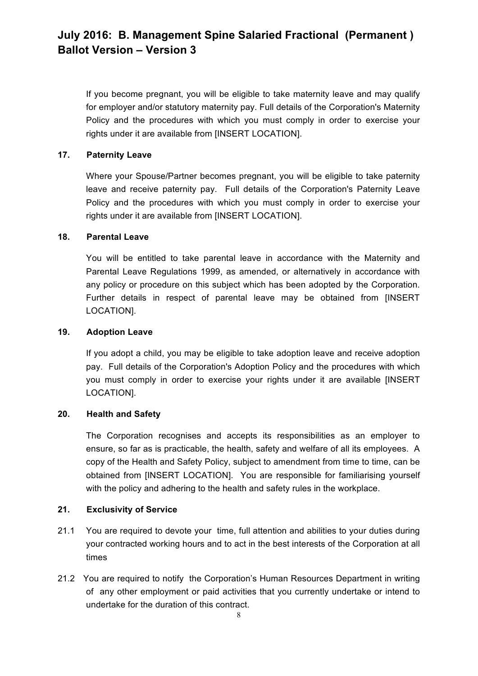If you become pregnant, you will be eligible to take maternity leave and may qualify for employer and/or statutory maternity pay. Full details of the Corporation's Maternity Policy and the procedures with which you must comply in order to exercise your rights under it are available from [INSERT LOCATION].

# **17. Paternity Leave**

Where your Spouse/Partner becomes pregnant, you will be eligible to take paternity leave and receive paternity pay. Full details of the Corporation's Paternity Leave Policy and the procedures with which you must comply in order to exercise your rights under it are available from [INSERT LOCATION].

# **18. Parental Leave**

You will be entitled to take parental leave in accordance with the Maternity and Parental Leave Regulations 1999, as amended, or alternatively in accordance with any policy or procedure on this subject which has been adopted by the Corporation. Further details in respect of parental leave may be obtained from [INSERT LOCATION].

# **19. Adoption Leave**

If you adopt a child, you may be eligible to take adoption leave and receive adoption pay. Full details of the Corporation's Adoption Policy and the procedures with which you must comply in order to exercise your rights under it are available [INSERT LOCATION].

# **20. Health and Safety**

The Corporation recognises and accepts its responsibilities as an employer to ensure, so far as is practicable, the health, safety and welfare of all its employees. A copy of the Health and Safety Policy, subject to amendment from time to time, can be obtained from [INSERT LOCATION]. You are responsible for familiarising yourself with the policy and adhering to the health and safety rules in the workplace.

# **21. Exclusivity of Service**

- 21.1 You are required to devote your time, full attention and abilities to your duties during your contracted working hours and to act in the best interests of the Corporation at all times
- 21.2 You are required to notify the Corporation's Human Resources Department in writing of any other employment or paid activities that you currently undertake or intend to undertake for the duration of this contract.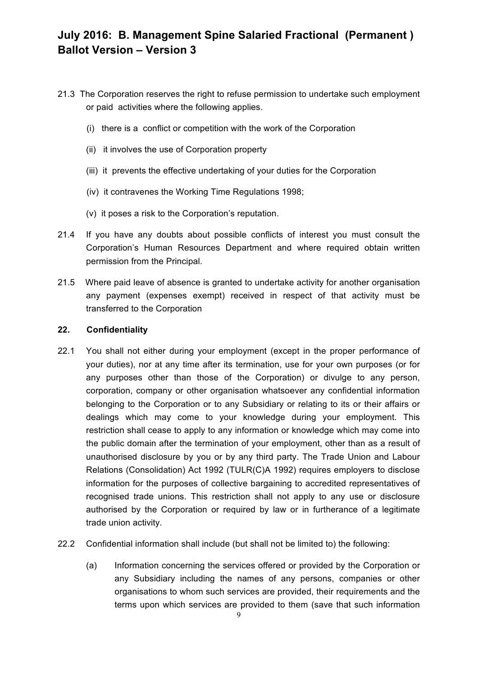- 21.3 The Corporation reserves the right to refuse permission to undertake such employment or paid activities where the following applies.
	- (i) there is a conflict or competition with the work of the Corporation
	- (ii) it involves the use of Corporation property
	- (iii) it prevents the effective undertaking of your duties for the Corporation
	- (iv) it contravenes the Working Time Regulations 1998;
	- (v) it poses a risk to the Corporation's reputation.
- 21.4 If you have any doubts about possible conflicts of interest you must consult the Corporation's Human Resources Department and where required obtain written permission from the Principal.
- 21.5 Where paid leave of absence is granted to undertake activity for another organisation any payment (expenses exempt) received in respect of that activity must be transferred to the Corporation

# **22. Confidentiality**

- 22.1 You shall not either during your employment (except in the proper performance of your duties), nor at any time after its termination, use for your own purposes (or for any purposes other than those of the Corporation) or divulge to any person, corporation, company or other organisation whatsoever any confidential information belonging to the Corporation or to any Subsidiary or relating to its or their affairs or dealings which may come to your knowledge during your employment. This restriction shall cease to apply to any information or knowledge which may come into the public domain after the termination of your employment, other than as a result of unauthorised disclosure by you or by any third party. The Trade Union and Labour Relations (Consolidation) Act 1992 (TULR(C)A 1992) requires employers to disclose information for the purposes of collective bargaining to accredited representatives of recognised trade unions. This restriction shall not apply to any use or disclosure authorised by the Corporation or required by law or in furtherance of a legitimate trade union activity.
- 22.2 Confidential information shall include (but shall not be limited to) the following:
	- (a) Information concerning the services offered or provided by the Corporation or any Subsidiary including the names of any persons, companies or other organisations to whom such services are provided, their requirements and the terms upon which services are provided to them (save that such information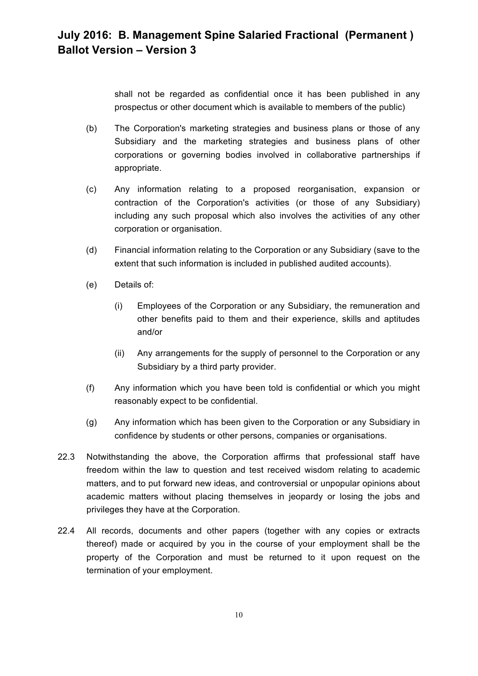shall not be regarded as confidential once it has been published in any prospectus or other document which is available to members of the public)

- (b) The Corporation's marketing strategies and business plans or those of any Subsidiary and the marketing strategies and business plans of other corporations or governing bodies involved in collaborative partnerships if appropriate.
- (c) Any information relating to a proposed reorganisation, expansion or contraction of the Corporation's activities (or those of any Subsidiary) including any such proposal which also involves the activities of any other corporation or organisation.
- (d) Financial information relating to the Corporation or any Subsidiary (save to the extent that such information is included in published audited accounts).
- (e) Details of:
	- (i) Employees of the Corporation or any Subsidiary, the remuneration and other benefits paid to them and their experience, skills and aptitudes and/or
	- (ii) Any arrangements for the supply of personnel to the Corporation or any Subsidiary by a third party provider.
- (f) Any information which you have been told is confidential or which you might reasonably expect to be confidential.
- (g) Any information which has been given to the Corporation or any Subsidiary in confidence by students or other persons, companies or organisations.
- 22.3 Notwithstanding the above, the Corporation affirms that professional staff have freedom within the law to question and test received wisdom relating to academic matters, and to put forward new ideas, and controversial or unpopular opinions about academic matters without placing themselves in jeopardy or losing the jobs and privileges they have at the Corporation.
- 22.4 All records, documents and other papers (together with any copies or extracts thereof) made or acquired by you in the course of your employment shall be the property of the Corporation and must be returned to it upon request on the termination of your employment.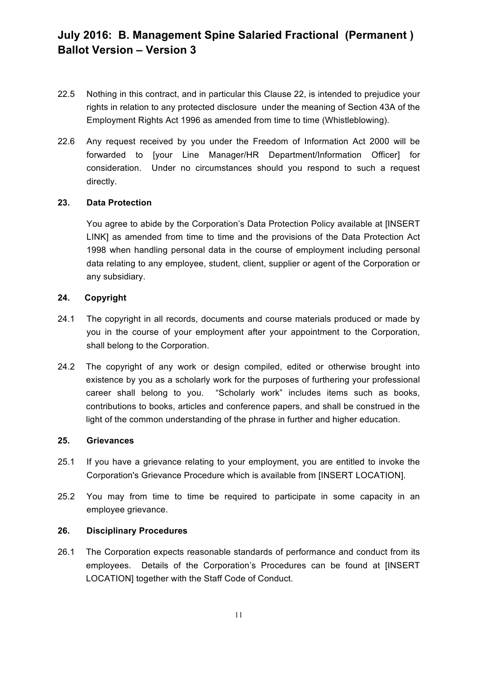- 22.5 Nothing in this contract, and in particular this Clause 22, is intended to prejudice your rights in relation to any protected disclosure under the meaning of Section 43A of the Employment Rights Act 1996 as amended from time to time (Whistleblowing).
- 22.6 Any request received by you under the Freedom of Information Act 2000 will be forwarded to [your Line Manager/HR Department/Information Officer] for consideration. Under no circumstances should you respond to such a request directly.

#### **23. Data Protection**

You agree to abide by the Corporation's Data Protection Policy available at [INSERT LINK] as amended from time to time and the provisions of the Data Protection Act 1998 when handling personal data in the course of employment including personal data relating to any employee, student, client, supplier or agent of the Corporation or any subsidiary.

#### **24. Copyright**

- 24.1 The copyright in all records, documents and course materials produced or made by you in the course of your employment after your appointment to the Corporation, shall belong to the Corporation.
- 24.2 The copyright of any work or design compiled, edited or otherwise brought into existence by you as a scholarly work for the purposes of furthering your professional career shall belong to you. "Scholarly work" includes items such as books, contributions to books, articles and conference papers, and shall be construed in the light of the common understanding of the phrase in further and higher education.

#### **25. Grievances**

- 25.1 If you have a grievance relating to your employment, you are entitled to invoke the Corporation's Grievance Procedure which is available from [INSERT LOCATION].
- 25.2 You may from time to time be required to participate in some capacity in an employee grievance.

#### **26. Disciplinary Procedures**

26.1 The Corporation expects reasonable standards of performance and conduct from its employees. Details of the Corporation's Procedures can be found at [INSERT LOCATION] together with the Staff Code of Conduct.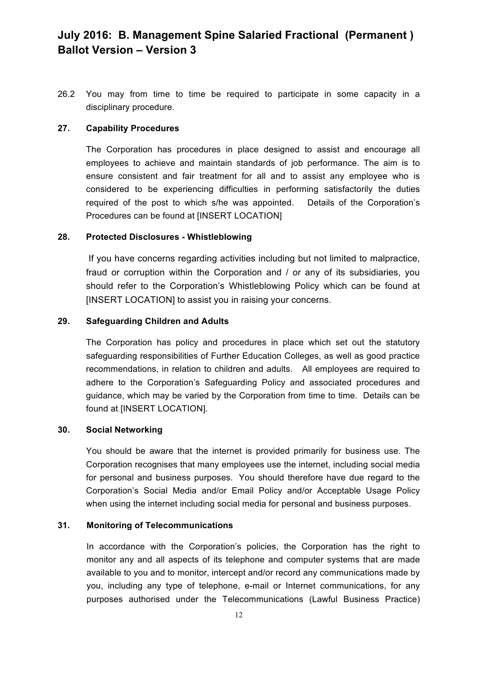26.2 You may from time to time be required to participate in some capacity in a disciplinary procedure.

#### **27. Capability Procedures**

The Corporation has procedures in place designed to assist and encourage all employees to achieve and maintain standards of job performance. The aim is to ensure consistent and fair treatment for all and to assist any employee who is considered to be experiencing difficulties in performing satisfactorily the duties required of the post to which s/he was appointed. Details of the Corporation's Procedures can be found at [INSERT LOCATION]

#### **28. Protected Disclosures - Whistleblowing**

If you have concerns regarding activities including but not limited to malpractice, fraud or corruption within the Corporation and / or any of its subsidiaries, you should refer to the Corporation's Whistleblowing Policy which can be found at [INSERT LOCATION] to assist you in raising your concerns.

# **29. Safeguarding Children and Adults**

The Corporation has policy and procedures in place which set out the statutory safeguarding responsibilities of Further Education Colleges, as well as good practice recommendations, in relation to children and adults. All employees are required to adhere to the Corporation's Safeguarding Policy and associated procedures and guidance, which may be varied by the Corporation from time to time. Details can be found at [INSERT LOCATION].

# **30. Social Networking**

You should be aware that the internet is provided primarily for business use. The Corporation recognises that many employees use the internet, including social media for personal and business purposes. You should therefore have due regard to the Corporation's Social Media and/or Email Policy and/or Acceptable Usage Policy when using the internet including social media for personal and business purposes.

# **31. Monitoring of Telecommunications**

In accordance with the Corporation's policies, the Corporation has the right to monitor any and all aspects of its telephone and computer systems that are made available to you and to monitor, intercept and/or record any communications made by you, including any type of telephone, e-mail or Internet communications, for any purposes authorised under the Telecommunications (Lawful Business Practice)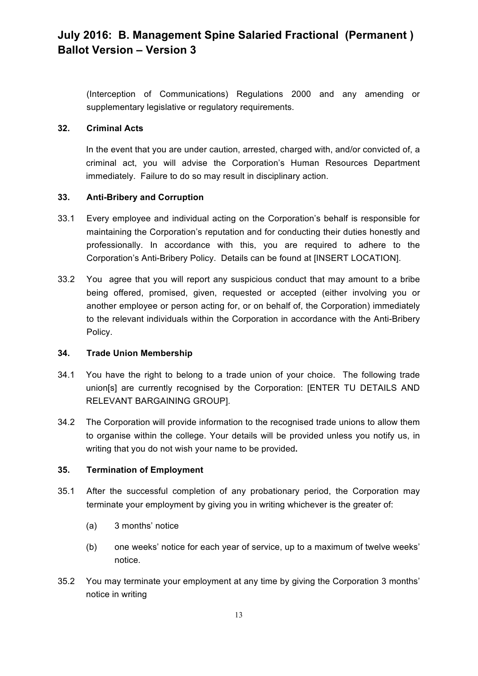(Interception of Communications) Regulations 2000 and any amending or supplementary legislative or regulatory requirements.

# **32. Criminal Acts**

In the event that you are under caution, arrested, charged with, and/or convicted of, a criminal act, you will advise the Corporation's Human Resources Department immediately. Failure to do so may result in disciplinary action.

# **33. Anti-Bribery and Corruption**

- 33.1 Every employee and individual acting on the Corporation's behalf is responsible for maintaining the Corporation's reputation and for conducting their duties honestly and professionally. In accordance with this, you are required to adhere to the Corporation's Anti-Bribery Policy. Details can be found at [INSERT LOCATION].
- 33.2 You agree that you will report any suspicious conduct that may amount to a bribe being offered, promised, given, requested or accepted (either involving you or another employee or person acting for, or on behalf of, the Corporation) immediately to the relevant individuals within the Corporation in accordance with the Anti-Bribery Policy.

# **34. Trade Union Membership**

- 34.1 You have the right to belong to a trade union of your choice. The following trade union[s] are currently recognised by the Corporation: [ENTER TU DETAILS AND RELEVANT BARGAINING GROUP].
- 34.2 The Corporation will provide information to the recognised trade unions to allow them to organise within the college. Your details will be provided unless you notify us, in writing that you do not wish your name to be provided**.**

# **35. Termination of Employment**

- 35.1 After the successful completion of any probationary period, the Corporation may terminate your employment by giving you in writing whichever is the greater of:
	- (a) 3 months' notice
	- (b) one weeks' notice for each year of service, up to a maximum of twelve weeks' notice.
- 35.2 You may terminate your employment at any time by giving the Corporation 3 months' notice in writing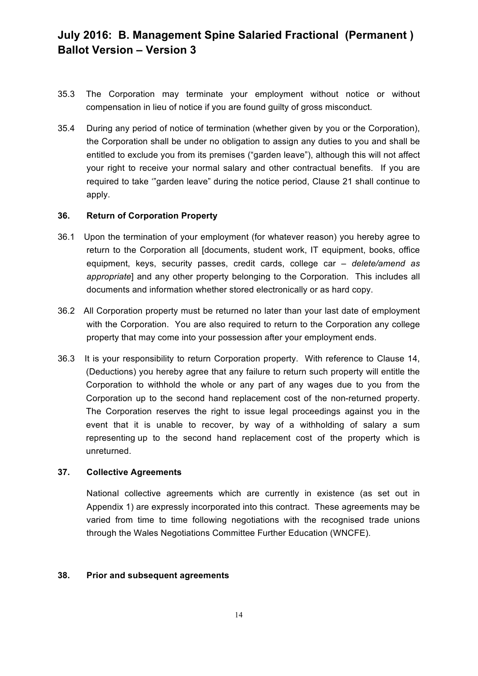- 35.3 The Corporation may terminate your employment without notice or without compensation in lieu of notice if you are found guilty of gross misconduct.
- 35.4 During any period of notice of termination (whether given by you or the Corporation), the Corporation shall be under no obligation to assign any duties to you and shall be entitled to exclude you from its premises ("garden leave"), although this will not affect your right to receive your normal salary and other contractual benefits. If you are required to take '"garden leave" during the notice period, Clause 21 shall continue to apply.

#### **36. Return of Corporation Property**

- 36.1 Upon the termination of your employment (for whatever reason) you hereby agree to return to the Corporation all [documents, student work, IT equipment, books, office equipment, keys, security passes, credit cards, college car *– delete/amend as appropriate*] and any other property belonging to the Corporation. This includes all documents and information whether stored electronically or as hard copy.
- 36.2 All Corporation property must be returned no later than your last date of employment with the Corporation. You are also required to return to the Corporation any college property that may come into your possession after your employment ends.
- 36.3 It is your responsibility to return Corporation property. With reference to Clause 14, (Deductions) you hereby agree that any failure to return such property will entitle the Corporation to withhold the whole or any part of any wages due to you from the Corporation up to the second hand replacement cost of the non-returned property. The Corporation reserves the right to issue legal proceedings against you in the event that it is unable to recover, by way of a withholding of salary a sum representing up to the second hand replacement cost of the property which is unreturned.

#### **37. Collective Agreements**

National collective agreements which are currently in existence (as set out in Appendix 1) are expressly incorporated into this contract. These agreements may be varied from time to time following negotiations with the recognised trade unions through the Wales Negotiations Committee Further Education (WNCFE).

#### **38. Prior and subsequent agreements**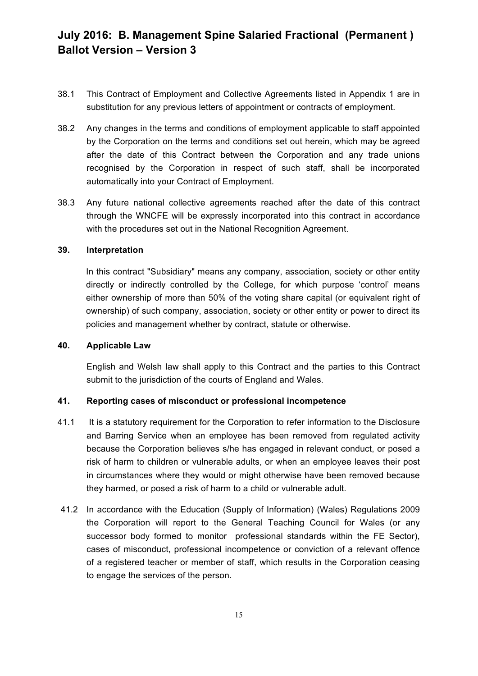- 38.1 This Contract of Employment and Collective Agreements listed in Appendix 1 are in substitution for any previous letters of appointment or contracts of employment.
- 38.2 Any changes in the terms and conditions of employment applicable to staff appointed by the Corporation on the terms and conditions set out herein, which may be agreed after the date of this Contract between the Corporation and any trade unions recognised by the Corporation in respect of such staff, shall be incorporated automatically into your Contract of Employment.
- 38.3 Any future national collective agreements reached after the date of this contract through the WNCFE will be expressly incorporated into this contract in accordance with the procedures set out in the National Recognition Agreement.

#### **39. Interpretation**

In this contract "Subsidiary" means any company, association, society or other entity directly or indirectly controlled by the College, for which purpose 'control' means either ownership of more than 50% of the voting share capital (or equivalent right of ownership) of such company, association, society or other entity or power to direct its policies and management whether by contract, statute or otherwise.

#### **40. Applicable Law**

English and Welsh law shall apply to this Contract and the parties to this Contract submit to the jurisdiction of the courts of England and Wales.

# **41. Reporting cases of misconduct or professional incompetence**

- 41.1 It is a statutory requirement for the Corporation to refer information to the Disclosure and Barring Service when an employee has been removed from regulated activity because the Corporation believes s/he has engaged in relevant conduct, or posed a risk of harm to children or vulnerable adults, or when an employee leaves their post in circumstances where they would or might otherwise have been removed because they harmed, or posed a risk of harm to a child or vulnerable adult.
- 41.2 In accordance with the Education (Supply of Information) (Wales) Regulations 2009 the Corporation will report to the General Teaching Council for Wales (or any successor body formed to monitor professional standards within the FE Sector), cases of misconduct, professional incompetence or conviction of a relevant offence of a registered teacher or member of staff, which results in the Corporation ceasing to engage the services of the person.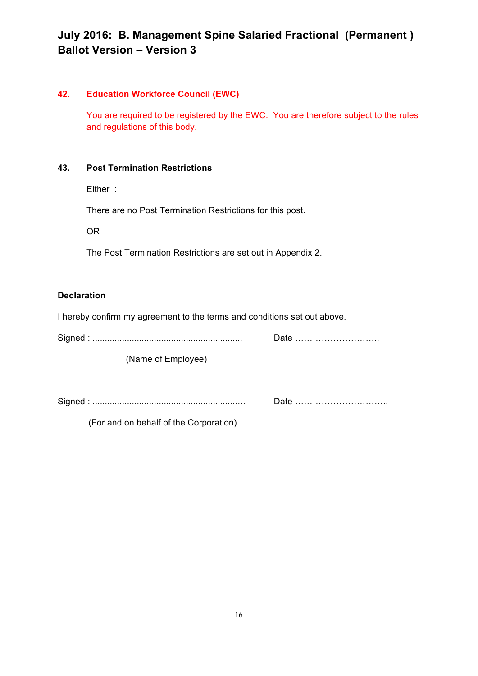# **42. Education Workforce Council (EWC)**

You are required to be registered by the EWC. You are therefore subject to the rules and regulations of this body.

# **43. Post Termination Restrictions**

Either :

There are no Post Termination Restrictions for this post.

OR

The Post Termination Restrictions are set out in Appendix 2.

# **Declaration**

I hereby confirm my agreement to the terms and conditions set out above.

Signed : ............................................................. Date ………………………..

(Name of Employee)

Signed : ...........................................................… Date …………………………..

(For and on behalf of the Corporation)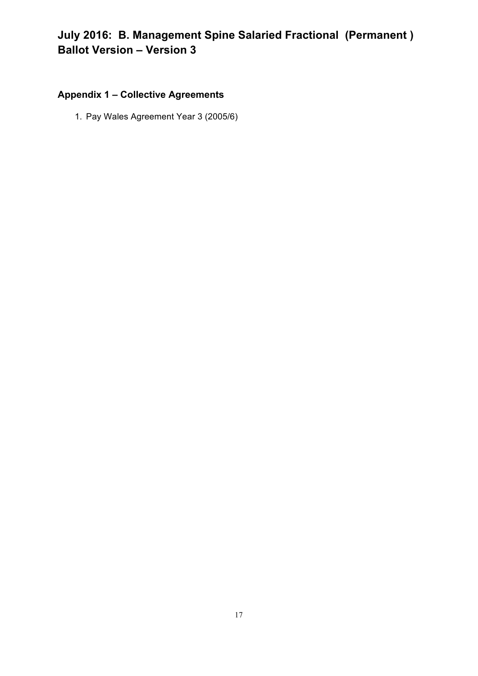# **Appendix 1 – Collective Agreements**

1. Pay Wales Agreement Year 3 (2005/6)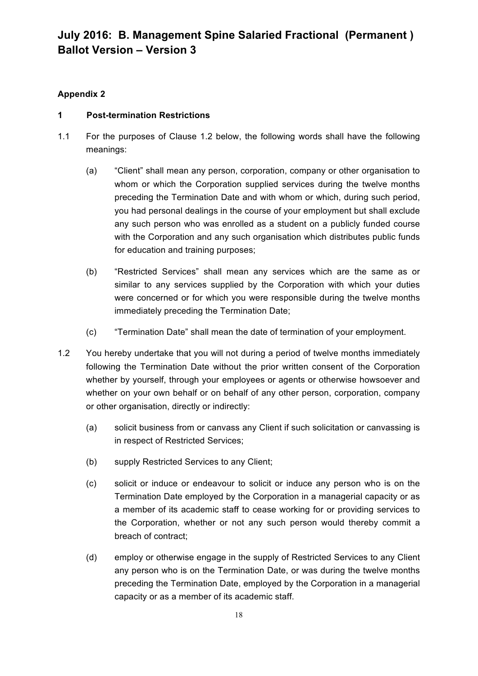# **Appendix 2**

# **1 Post-termination Restrictions**

- 1.1 For the purposes of Clause 1.2 below, the following words shall have the following meanings:
	- (a) "Client" shall mean any person, corporation, company or other organisation to whom or which the Corporation supplied services during the twelve months preceding the Termination Date and with whom or which, during such period, you had personal dealings in the course of your employment but shall exclude any such person who was enrolled as a student on a publicly funded course with the Corporation and any such organisation which distributes public funds for education and training purposes;
	- (b) "Restricted Services" shall mean any services which are the same as or similar to any services supplied by the Corporation with which your duties were concerned or for which you were responsible during the twelve months immediately preceding the Termination Date;
	- (c) "Termination Date" shall mean the date of termination of your employment.
- 1.2 You hereby undertake that you will not during a period of twelve months immediately following the Termination Date without the prior written consent of the Corporation whether by yourself, through your employees or agents or otherwise howsoever and whether on your own behalf or on behalf of any other person, corporation, company or other organisation, directly or indirectly:
	- (a) solicit business from or canvass any Client if such solicitation or canvassing is in respect of Restricted Services;
	- (b) supply Restricted Services to any Client;
	- (c) solicit or induce or endeavour to solicit or induce any person who is on the Termination Date employed by the Corporation in a managerial capacity or as a member of its academic staff to cease working for or providing services to the Corporation, whether or not any such person would thereby commit a breach of contract;
	- (d) employ or otherwise engage in the supply of Restricted Services to any Client any person who is on the Termination Date, or was during the twelve months preceding the Termination Date, employed by the Corporation in a managerial capacity or as a member of its academic staff.